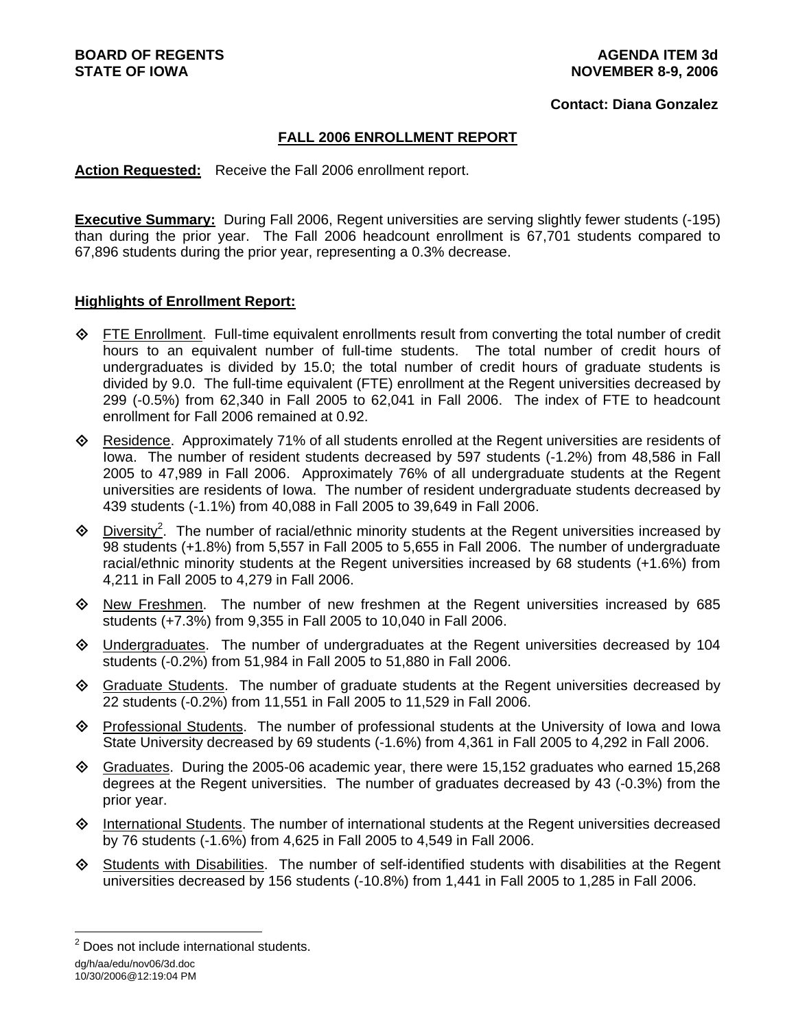### **Contact: Diana Gonzalez**

## **FALL 2006 ENROLLMENT REPORT**

**Action Requested:** Receive the Fall 2006 enrollment report.

**Executive Summary:** During Fall 2006, Regent universities are serving slightly fewer students (-195) than during the prior year. The Fall 2006 headcount enrollment is 67,701 students compared to 67,896 students during the prior year, representing a 0.3% decrease.

### **Highlights of Enrollment Report:**

- $\Diamond$  FTE Enrollment. Full-time equivalent enrollments result from converting the total number of credit hours to an equivalent number of full-time students. The total number of credit hours of undergraduates is divided by 15.0; the total number of credit hours of graduate students is divided by 9.0. The full-time equivalent (FTE) enrollment at the Regent universities decreased by 299 (-0.5%) from 62,340 in Fall 2005 to 62,041 in Fall 2006. The index of FTE to headcount enrollment for Fall 2006 remained at 0.92.
- $\diamond$  Residence. Approximately 71% of all students enrolled at the Regent universities are residents of Iowa. The number of resident students decreased by 597 students (-1.2%) from 48,586 in Fall 2005 to 47,989 in Fall 2006. Approximately 76% of all undergraduate students at the Regent universities are residents of Iowa. The number of resident undergraduate students decreased by 439 students (-1.1%) from 40,088 in Fall 2005 to 39,649 in Fall 2006.
- $\Diamond$  Diversity<sup>2</sup>. The number of racial/ethnic minority students at the Regent universities increased by 98 students (+1.8%) from 5,557 in Fall 2005 to 5,655 in Fall 2006. The number of undergraduate racial/ethnic minority students at the Regent universities increased by 68 students (+1.6%) from 4,211 in Fall 2005 to 4,279 in Fall 2006.
- New Freshmen. The number of new freshmen at the Regent universities increased by 685 students (+7.3%) from 9,355 in Fall 2005 to 10,040 in Fall 2006.
- Undergraduates. The number of undergraduates at the Regent universities decreased by 104 students (-0.2%) from 51,984 in Fall 2005 to 51,880 in Fall 2006.
- Graduate Students. The number of graduate students at the Regent universities decreased by 22 students (-0.2%) from 11,551 in Fall 2005 to 11,529 in Fall 2006.
- Professional Students. The number of professional students at the University of Iowa and Iowa State University decreased by 69 students (-1.6%) from 4,361 in Fall 2005 to 4,292 in Fall 2006.
- $\Diamond$  Graduates. During the 2005-06 academic year, there were 15,152 graduates who earned 15,268 degrees at the Regent universities. The number of graduates decreased by 43 (-0.3%) from the prior year.
- $\Diamond$  International Students. The number of international students at the Regent universities decreased by 76 students (-1.6%) from 4,625 in Fall 2005 to 4,549 in Fall 2006.
- Students with Disabilities. The number of self-identified students with disabilities at the Regent universities decreased by 156 students (-10.8%) from 1,441 in Fall 2005 to 1,285 in Fall 2006.

dg/h/aa/edu/nov06/3d.doc

l

<sup>&</sup>lt;sup>2</sup> Does not include international students.

<sup>10/30/2006@12:19:04</sup> PM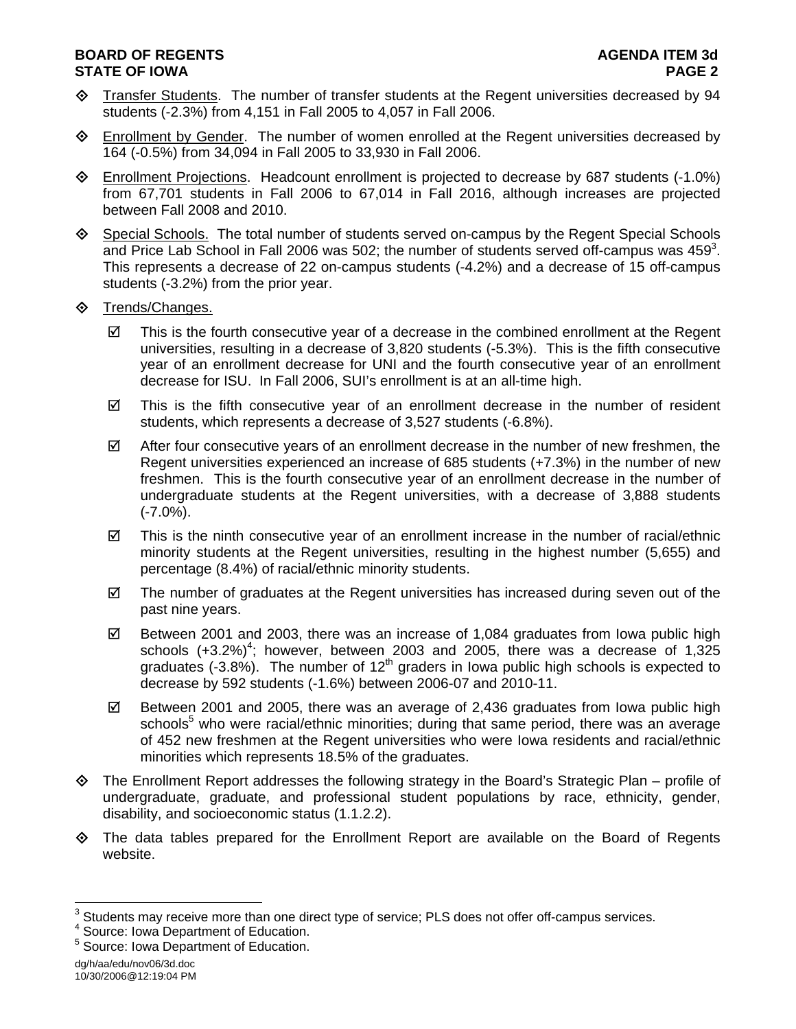# **BOARD OF REGENTS AGENUS AGENDA ITEM 3d STATE OF IOWA** PAGE 2

- Transfer Students. The number of transfer students at the Regent universities decreased by 94 students (-2.3%) from 4,151 in Fall 2005 to 4,057 in Fall 2006.
- Enrollment by Gender. The number of women enrolled at the Regent universities decreased by 164 (-0.5%) from 34,094 in Fall 2005 to 33,930 in Fall 2006.
- Enrollment Projections. Headcount enrollment is projected to decrease by 687 students (-1.0%) from 67,701 students in Fall 2006 to 67,014 in Fall 2016, although increases are projected between Fall 2008 and 2010.
- Special Schools. The total number of students served on-campus by the Regent Special Schools and Price Lab School in Fall 2006 was 502; the number of students served off-campus was 459<sup>3</sup>. This represents a decrease of 22 on-campus students (-4.2%) and a decrease of 15 off-campus students (-3.2%) from the prior year.
- $\diamond$  Trends/Changes.
	- $\boxtimes$  This is the fourth consecutive year of a decrease in the combined enrollment at the Regent universities, resulting in a decrease of 3,820 students (-5.3%). This is the fifth consecutive year of an enrollment decrease for UNI and the fourth consecutive year of an enrollment decrease for ISU. In Fall 2006, SUI's enrollment is at an all-time high.
	- $\boxtimes$  This is the fifth consecutive year of an enrollment decrease in the number of resident students, which represents a decrease of 3,527 students (-6.8%).
	- $\boxtimes$  After four consecutive years of an enrollment decrease in the number of new freshmen, the Regent universities experienced an increase of 685 students (+7.3%) in the number of new freshmen. This is the fourth consecutive year of an enrollment decrease in the number of undergraduate students at the Regent universities, with a decrease of 3,888 students  $(-7.0\%)$ .
	- $\boxtimes$  This is the ninth consecutive year of an enrollment increase in the number of racial/ethnic minority students at the Regent universities, resulting in the highest number (5,655) and percentage (8.4%) of racial/ethnic minority students.
	- $\boxtimes$  The number of graduates at the Regent universities has increased during seven out of the past nine years.
	- $\boxtimes$  Between 2001 and 2003, there was an increase of 1,084 graduates from Iowa public high schools  $(+3.2\%)^4$ ; however, between 2003 and 2005, there was a decrease of 1,325 graduates (-3.8%). The number of 12<sup>th</sup> graders in lowa public high schools is expected to decrease by 592 students (-1.6%) between 2006-07 and 2010-11.
	- $\boxtimes$  Between 2001 and 2005, there was an average of 2,436 graduates from lowa public high schools<sup>5</sup> who were racial/ethnic minorities; during that same period, there was an average of 452 new freshmen at the Regent universities who were Iowa residents and racial/ethnic minorities which represents 18.5% of the graduates.
- $\diamond$  The Enrollment Report addresses the following strategy in the Board's Strategic Plan profile of undergraduate, graduate, and professional student populations by race, ethnicity, gender, disability, and socioeconomic status (1.1.2.2).
- $\diamond$  The data tables prepared for the Enrollment Report are available on the Board of Regents website.

<sup>&</sup>lt;sup>3</sup> Students may receive more than one direct type of service; PLS does not offer off-campus services.

<sup>4</sup> Source: Iowa Department of Education.

<sup>5</sup> Source: Iowa Department of Education.